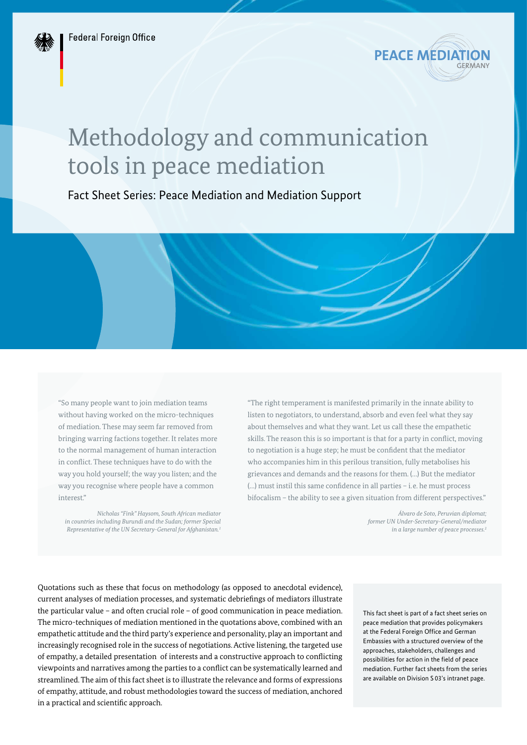

# Methodology and communication tools in peace mediation

Fact Sheet Series: Peace Mediation and Mediation Support

"So many people want to join mediation teams without having worked on the micro-techniques of mediation. These may seem far removed from bringing warring factions together. It relates more to the normal management of human interaction in conflict. These techniques have to do with the way you hold yourself; the way you listen; and the way you recognise where people have a common interest."

*Nicholas "Fink" Haysom, South African mediator in countries including Burundi and the Sudan; former Special Representative of the UN Secretary-General for Afghanistan.1*

"The right temperament is manifested primarily in the innate ability to listen to negotiators, to understand, absorb and even feel what they say about themselves and what they want. Let us call these the empathetic skills. The reason this is so important is that for a party in conflict, moving to negotiation is a huge step; he must be confident that the mediator who accompanies him in this perilous transition, fully metabolises his grievances and demands and the reasons for them. (…) But the mediator (…) must instil this same confidence in all parties – i.e. he must process bifocalism – the ability to see a given situation from different perspectives."

> *Álvaro de Soto, Peruvian diplomat; former UN Under-Secretary-General/mediator in a large number of peace processes.2*

Quotations such as these that focus on methodology (as opposed to anecdotal evidence), current analyses of mediation processes, and systematic debriefings of mediators illustrate the particular value – and often crucial role – of good communication in peace mediation. The micro-techniques of mediation mentioned in the quotations above, combined with an empathetic attitude and the third party's experience and personality, play an important and increasingly recognised role in the success of negotiations. Active listening, the targeted use of empathy, a detailed presentation of interests and a constructive approach to conflicting viewpoints and narratives among the parties to a conflict can be systematically learned and streamlined. The aim of this fact sheet is to illustrate the relevance and forms of expressions of empathy, attitude, and robust methodologies toward the success of mediation, anchored in a practical and scientific approach.

This fact sheet is part of a fact sheet series on peace mediation that provides policymakers at the Federal Foreign Office and German Embassies with a structured overview of the approaches, stakeholders, challenges and possibilities for action in the field of peace mediation. Further fact sheets from the series are available on Division S 03's intranet page.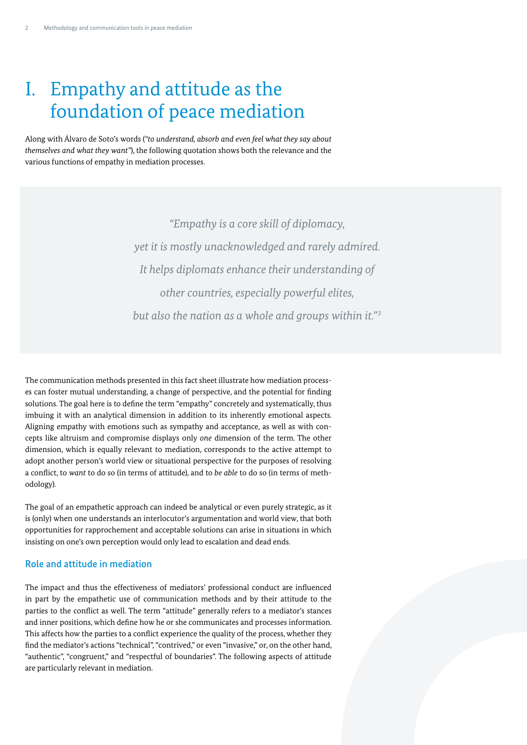## I. Empathy and attitude as the foundation of peace mediation

Along with Álvaro de Soto's words (*"to understand, absorb and even feel what they say about themselves and what they want"*), the following quotation shows both the relevance and the various functions of empathy in mediation processes.

> *"Empathy is a core skill of diplomacy, yet it is mostly unacknowledged and rarely admired. It helps diplomats enhance their understanding of other countries, especially powerful elites, but also the nation as a whole and groups within it."3*

The communication methods presented in this fact sheet illustrate how mediation processes can foster mutual understanding, a change of perspective, and the potential for finding solutions. The goal here is to define the term "empathy" concretely and systematically, thus imbuing it with an analytical dimension in addition to its inherently emotional aspects. Aligning empathy with emotions such as sympathy and acceptance, as well as with concepts like altruism and compromise displays only *one* dimension of the term. The other dimension, which is equally relevant to mediation, corresponds to the active attempt to adopt another person's world view or situational perspective for the purposes of resolving a conflict, to *want* to do so (in terms of attitude), and to *be able* to do so (in terms of methodology).

The goal of an empathetic approach can indeed be analytical or even purely strategic, as it is (only) when one understands an interlocutor's argumentation and world view, that both opportunities for rapprochement and acceptable solutions can arise in situations in which insisting on one's own perception would only lead to escalation and dead ends.

## Role and attitude in mediation

The impact and thus the effectiveness of mediators' professional conduct are influenced in part by the empathetic use of communication methods and by their attitude to the parties to the conflict as well. The term "attitude" generally refers to a mediator's stances and inner positions, which define how he or she communicates and processes information. This affects how the parties to a conflict experience the quality of the process, whether they find the mediator's actions "technical", "contrived," or even "invasive," or, on the other hand, "authentic", "congruent," and "respectful of boundaries". The following aspects of attitude are particularly relevant in mediation.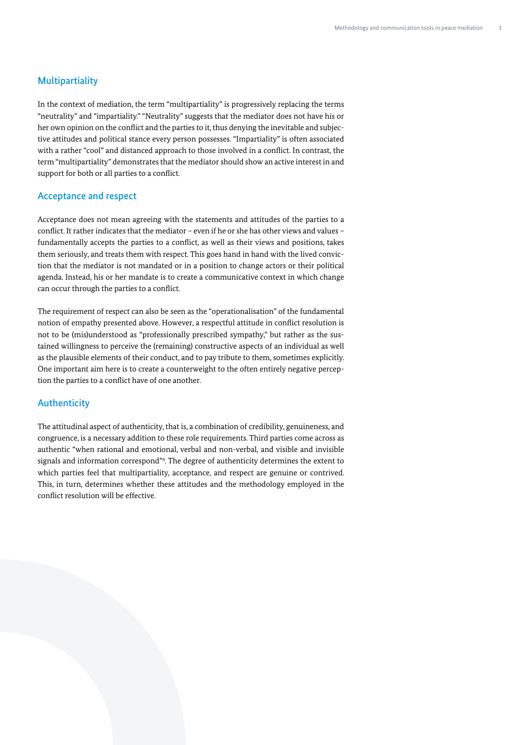## Multipartiality

In the context of mediation, the term "multipartiality" is progressively replacing the terms "neutrality" and "impartiality." "Neutrality" suggests that the mediator does not have his or her own opinion on the conflict and the parties to it, thus denying the inevitable and subjective attitudes and political stance every person possesses. "Impartiality" is often associated with a rather "cool" and distanced approach to those involved in a conflict. In contrast, the term "multipartiality" demonstrates that the mediator should show an active interest in and support for both or all parties to a conflict.

#### Acceptance and respect

Acceptance does not mean agreeing with the statements and attitudes of the parties to a conflict. It rather indicates that the mediator – even if he or she has other views and values – fundamentally accepts the parties to a conflict, as well as their views and positions, takes them seriously, and treats them with respect. This goes hand in hand with the lived conviction that the mediator is not mandated or in a position to change actors or their political agenda. Instead, his or her mandate is to create a communicative context in which change can occur through the parties to a conflict.

The requirement of respect can also be seen as the "operationalisation" of the fundamental notion of empathy presented above. However, a respectful attitude in conflict resolution is not to be (mis)understood as "professionally prescribed sympathy," but rather as the sustained willingness to perceive the (remaining) constructive aspects of an individual as well as the plausible elements of their conduct, and to pay tribute to them, sometimes explicitly. One important aim here is to create a counterweight to the often entirely negative perception the parties to a conflict have of one another.

## Authenticity

The attitudinal aspect of authenticity, that is, a combination of credibility, genuineness, and congruence, is a necessary addition to these role requirements. Third parties come across as authentic "when rational and emotional, verbal and non-verbal, and visible and invisible signals and information correspond"4 . The degree of authenticity determines the extent to which parties feel that multipartiality, acceptance, and respect are genuine or contrived. This, in turn, determines whether these attitudes and the methodology employed in the conflict resolution will be effective.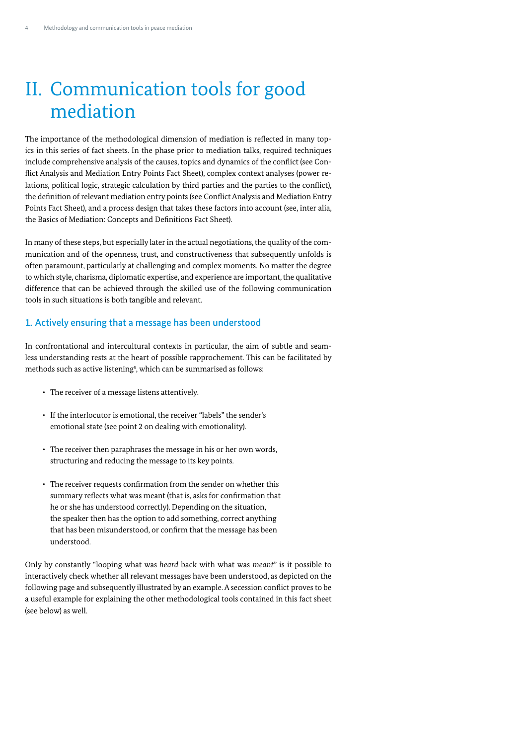## II. Communication tools for good mediation

The importance of the methodological dimension of mediation is reflected in many topics in this series of fact sheets. In the phase prior to mediation talks, required techniques include comprehensive analysis of the causes, topics and dynamics of the conflict (see Conflict Analysis and Mediation Entry Points Fact Sheet), complex context analyses (power relations, political logic, strategic calculation by third parties and the parties to the conflict), the definition of relevant mediation entry points (see Conflict Analysis and Mediation Entry Points Fact Sheet), and a process design that takes these factors into account (see, inter alia, the Basics of Mediation: Concepts and Definitions Fact Sheet).

In many of these steps, but especially later in the actual negotiations, the quality of the communication and of the openness, trust, and constructiveness that subsequently unfolds is often paramount, particularly at challenging and complex moments. No matter the degree to which style, charisma, diplomatic expertise, and experience are important, the qualitative difference that can be achieved through the skilled use of the following communication tools in such situations is both tangible and relevant.

## 1. Actively ensuring that a message has been understood

In confrontational and intercultural contexts in particular, the aim of subtle and seamless understanding rests at the heart of possible rapprochement. This can be facilitated by methods such as active listening<sup>s</sup>, which can be summarised as follows:

- The receiver of a message listens attentively.
- If the interlocutor is emotional, the receiver "labels" the sender's emotional state (see point 2 on dealing with emotionality).
- The receiver then paraphrases the message in his or her own words, structuring and reducing the message to its key points.
- The receiver requests confirmation from the sender on whether this summary reflects what was meant (that is, asks for confirmation that he or she has understood correctly). Depending on the situation, the speaker then has the option to add something, correct anything that has been misunderstood, or confirm that the message has been understood.

Only by constantly "looping what was *heard* back with what was *meant*" is it possible to interactively check whether all relevant messages have been understood, as depicted on the following page and subsequently illustrated by an example. A secession conflict proves to be a useful example for explaining the other methodological tools contained in this fact sheet (see below) as well.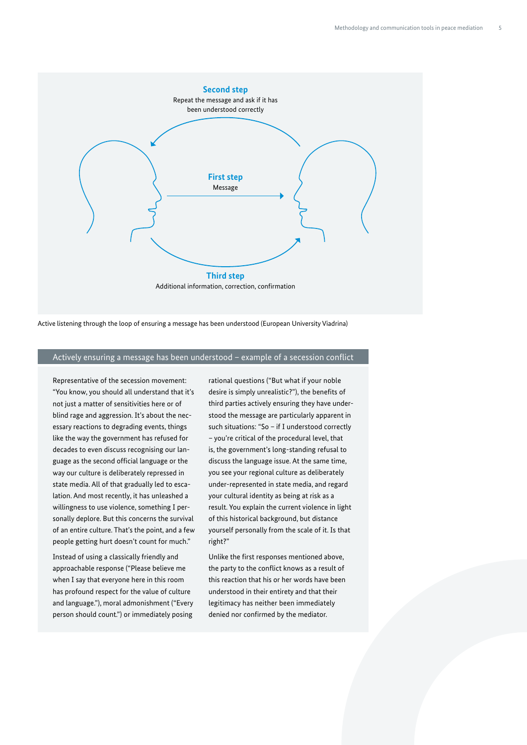

Active listening through the loop of ensuring a message has been understood (European University Viadrina)

#### Actively ensuring a message has been understood – example of a secession conflict

Representative of the secession movement: "You know, you should all understand that it's not just a matter of sensitivities here or of blind rage and aggression. It's about the necessary reactions to degrading events, things like the way the government has refused for decades to even discuss recognising our language as the second official language or the way our culture is deliberately repressed in state media. All of that gradually led to escalation. And most recently, it has unleashed a willingness to use violence, something I personally deplore. But this concerns the survival of an entire culture. That's the point, and a few people getting hurt doesn't count for much."

Instead of using a classically friendly and approachable response ("Please believe me when I say that everyone here in this room has profound respect for the value of culture and language."), moral admonishment ("Every person should count.") or immediately posing rational questions ("But what if your noble desire is simply unrealistic?"), the benefits of third parties actively ensuring they have understood the message are particularly apparent in such situations: "So – if I understood correctly – you're critical of the procedural level, that is, the government's long-standing refusal to discuss the language issue. At the same time, you see your regional culture as deliberately under-represented in state media, and regard your cultural identity as being at risk as a result. You explain the current violence in light of this historical background, but distance yourself personally from the scale of it. Is that right?"

Unlike the first responses mentioned above, the party to the conflict knows as a result of this reaction that his or her words have been understood in their entirety and that their legitimacy has neither been immediately denied nor confirmed by the mediator.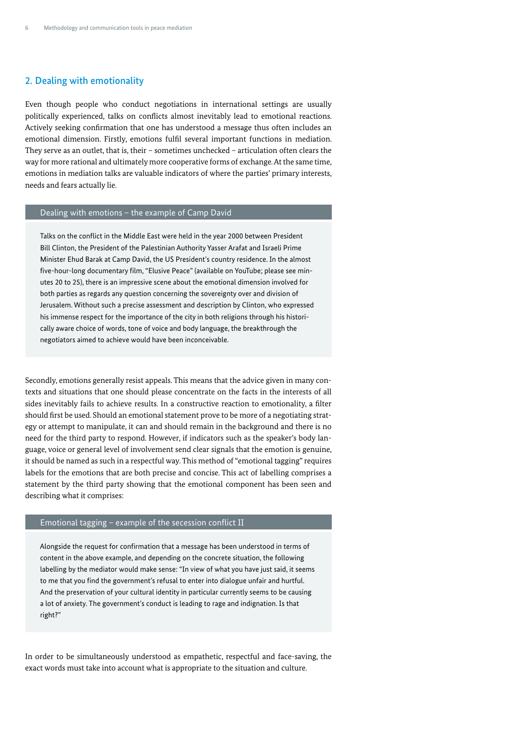## 2. Dealing with emotionality

Even though people who conduct negotiations in international settings are usually politically experienced, talks on conflicts almost inevitably lead to emotional reactions. Actively seeking confirmation that one has understood a message thus often includes an emotional dimension. Firstly, emotions fulfil several important functions in mediation. They serve as an outlet, that is, their – sometimes unchecked – articulation often clears the way for more rational and ultimately more cooperative forms of exchange. At the same time, emotions in mediation talks are valuable indicators of where the parties' primary interests, needs and fears actually lie.

## Dealing with emotions – the example of Camp David

Talks on the conflict in the Middle East were held in the year 2000 between President Bill Clinton, the President of the Palestinian Authority Yasser Arafat and Israeli Prime Minister Ehud Barak at Camp David, the US President's country residence. In the almost five-hour-long documentary film, "Elusive Peace" (available on YouTube; please see minutes 20 to 25), there is an impressive scene about the emotional dimension involved for both parties as regards any question concerning the sovereignty over and division of Jerusalem. Without such a precise assessment and description by Clinton, who expressed his immense respect for the importance of the city in both religions through his historically aware choice of words, tone of voice and body language, the breakthrough the negotiators aimed to achieve would have been inconceivable.

Secondly, emotions generally resist appeals. This means that the advice given in many contexts and situations that one should please concentrate on the facts in the interests of all sides inevitably fails to achieve results. In a constructive reaction to emotionality, a filter should first be used. Should an emotional statement prove to be more of a negotiating strategy or attempt to manipulate, it can and should remain in the background and there is no need for the third party to respond. However, if indicators such as the speaker's body language, voice or general level of involvement send clear signals that the emotion is genuine, it should be named as such in a respectful way. This method of "emotional tagging" requires labels for the emotions that are both precise and concise. This act of labelling comprises a statement by the third party showing that the emotional component has been seen and describing what it comprises:

#### Emotional tagging – example of the secession conflict II

Alongside the request for confirmation that a message has been understood in terms of content in the above example, and depending on the concrete situation, the following labelling by the mediator would make sense: "In view of what you have just said, it seems to me that you find the government's refusal to enter into dialogue unfair and hurtful. And the preservation of your cultural identity in particular currently seems to be causing a lot of anxiety. The government's conduct is leading to rage and indignation. Is that right?"

In order to be simultaneously understood as empathetic, respectful and face-saving, the exact words must take into account what is appropriate to the situation and culture.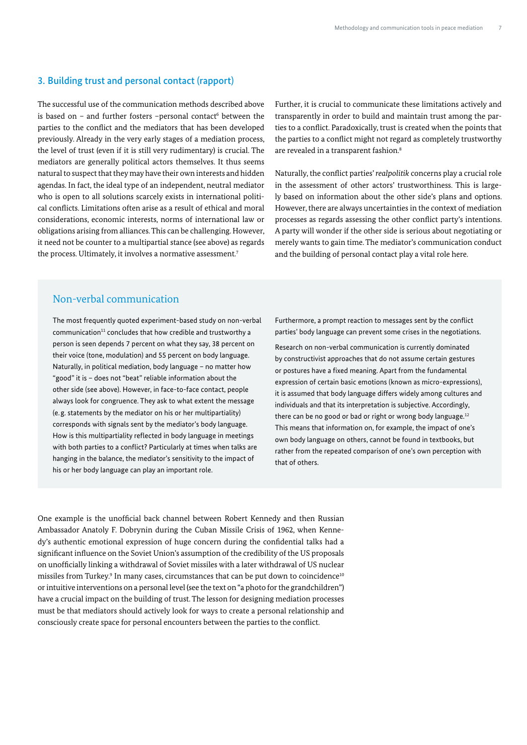### 3. Building trust and personal contact (rapport)

The successful use of the communication methods described above is based on  $-$  and further fosters  $-p$ ersonal contact $6$  between the parties to the conflict and the mediators that has been developed previously. Already in the very early stages of a mediation process, the level of trust (even if it is still very rudimentary) is crucial. The mediators are generally political actors themselves. It thus seems natural to suspect that they may have their own interests and hidden agendas. In fact, the ideal type of an independent, neutral mediator who is open to all solutions scarcely exists in international political conflicts. Limitations often arise as a result of ethical and moral considerations, economic interests, norms of international law or obligations arising from alliances. This can be challenging. However, it need not be counter to a multipartial stance (see above) as regards the process. Ultimately, it involves a normative assessment.<sup>7</sup>

Further, it is crucial to communicate these limitations actively and transparently in order to build and maintain trust among the parties to a conflict. Paradoxically, trust is created when the points that the parties to a conflict might not regard as completely trustworthy are revealed in a transparent fashion.<sup>8</sup>

Naturally, the conflict parties' *realpolitik* concerns play a crucial role in the assessment of other actors' trustworthiness. This is largely based on information about the other side's plans and options. However, there are always uncertainties in the context of mediation processes as regards assessing the other conflict party's intentions. A party will wonder if the other side is serious about negotiating or merely wants to gain time. The mediator's communication conduct and the building of personal contact play a vital role here.

## Non-verbal communication

The most frequently quoted experiment-based study on non-verbal  $common<sup>11</sup>$  concludes that how credible and trustworthy a person is seen depends 7 percent on what they say, 38 percent on their voice (tone, modulation) and 55 percent on body language. Naturally, in political mediation, body language – no matter how "good" it is – does not "beat" reliable information about the other side (see above). However, in face-to-face contact, people always look for congruence. They ask to what extent the message (e.g. statements by the mediator on his or her multipartiality) corresponds with signals sent by the mediator's body language. How is this multipartiality reflected in body language in meetings with both parties to a conflict? Particularly at times when talks are hanging in the balance, the mediator's sensitivity to the impact of his or her body language can play an important role.

Furthermore, a prompt reaction to messages sent by the conflict parties' body language can prevent some crises in the negotiations.

Research on non-verbal communication is currently dominated by constructivist approaches that do not assume certain gestures or postures have a fixed meaning. Apart from the fundamental expression of certain basic emotions (known as micro-expressions), it is assumed that body language differs widely among cultures and individuals and that its interpretation is subjective. Accordingly, there can be no good or bad or right or wrong body language.<sup>12</sup> This means that information on, for example, the impact of one's own body language on others, cannot be found in textbooks, but rather from the repeated comparison of one's own perception with that of others.

One example is the unofficial back channel between Robert Kennedy and then Russian Ambassador Anatoly F. Dobrynin during the Cuban Missile Crisis of 1962, when Kennedy's authentic emotional expression of huge concern during the confidential talks had a significant influence on the Soviet Union's assumption of the credibility of the US proposals on unofficially linking a withdrawal of Soviet missiles with a later withdrawal of US nuclear missiles from Turkey. $^9$  In many cases, circumstances that can be put down to coincidence $^{\rm 10}$ or intuitive interventions on a personal level (see the text on "a photo for the grandchildren") have a crucial impact on the building of trust. The lesson for designing mediation processes must be that mediators should actively look for ways to create a personal relationship and consciously create space for personal encounters between the parties to the conflict.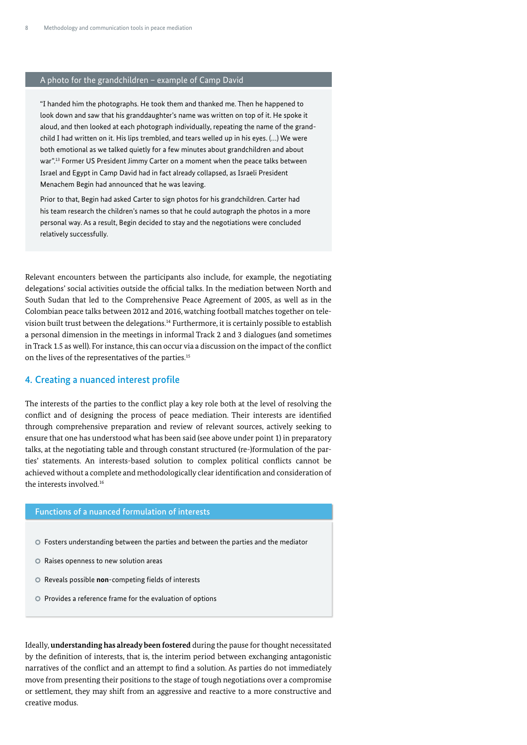#### A photo for the grandchildren – example of Camp David

"I handed him the photographs. He took them and thanked me. Then he happened to look down and saw that his granddaughter's name was written on top of it. He spoke it aloud, and then looked at each photograph individually, repeating the name of the grandchild I had written on it. His lips trembled, and tears welled up in his eyes. (…) We were both emotional as we talked quietly for a few minutes about grandchildren and about war".<sup>13</sup> Former US President Jimmy Carter on a moment when the peace talks between Israel and Egypt in Camp David had in fact already collapsed, as Israeli President Menachem Begin had announced that he was leaving.

Prior to that, Begin had asked Carter to sign photos for his grandchildren. Carter had his team research the children's names so that he could autograph the photos in a more personal way. As a result, Begin decided to stay and the negotiations were concluded relatively successfully.

Relevant encounters between the participants also include, for example, the negotiating delegations' social activities outside the official talks. In the mediation between North and South Sudan that led to the Comprehensive Peace Agreement of 2005, as well as in the Colombian peace talks between 2012 and 2016, watching football matches together on television built trust between the delegations.14 Furthermore, it is certainly possible to establish a personal dimension in the meetings in informal Track 2 and 3 dialogues (and sometimes in Track 1.5 as well). For instance, this can occur via a discussion on the impact of the conflict on the lives of the representatives of the parties.15

#### 4. Creating a nuanced interest profile

The interests of the parties to the conflict play a key role both at the level of resolving the conflict and of designing the process of peace mediation. Their interests are identified through comprehensive preparation and review of relevant sources, actively seeking to ensure that one has understood what has been said (see above under point 1) in preparatory talks, at the negotiating table and through constant structured (re-)formulation of the parties' statements. An interests-based solution to complex political conflicts cannot be achieved without a complete and methodologically clear identification and consideration of the interests involved.16

#### Functions of a nuanced formulation of interests

- Fosters understanding between the parties and between the parties and the mediator
- Raises openness to new solution areas
- Reveals possible **non**-competing fields of interests
- Provides a reference frame for the evaluation of options

Ideally, **understanding has already been fostered** during the pause for thought necessitated by the definition of interests, that is, the interim period between exchanging antagonistic narratives of the conflict and an attempt to find a solution. As parties do not immediately move from presenting their positions to the stage of tough negotiations over a compromise or settlement, they may shift from an aggressive and reactive to a more constructive and creative modus.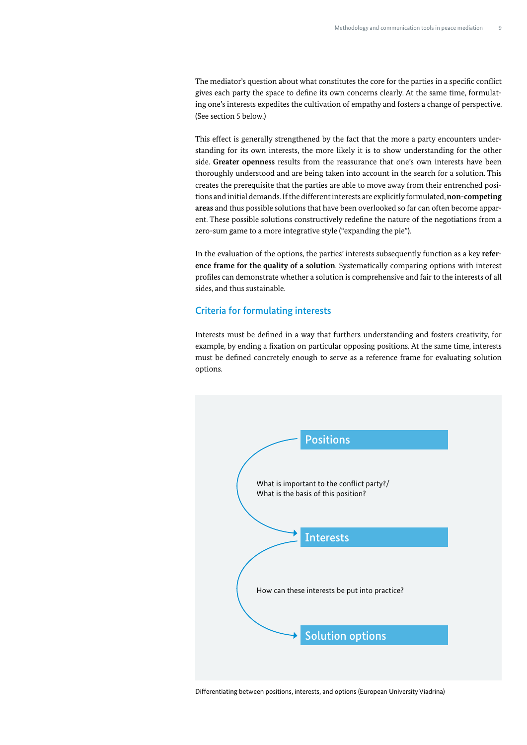The mediator's question about what constitutes the core for the parties in a specific conflict gives each party the space to define its own concerns clearly. At the same time, formulating one's interests expedites the cultivation of empathy and fosters a change of perspective. (See section 5 below.)

This effect is generally strengthened by the fact that the more a party encounters understanding for its own interests, the more likely it is to show understanding for the other side. **Greater openness** results from the reassurance that one's own interests have been thoroughly understood and are being taken into account in the search for a solution. This creates the prerequisite that the parties are able to move away from their entrenched positions and initial demands. If the different interests are explicitly formulated, **non-competing areas** and thus possible solutions that have been overlooked so far can often become apparent. These possible solutions constructively redefine the nature of the negotiations from a zero-sum game to a more integrative style ("expanding the pie").

In the evaluation of the options, the parties' interests subsequently function as a key **reference frame for the quality of a solution**. Systematically comparing options with interest profiles can demonstrate whether a solution is comprehensive and fair to the interests of all sides, and thus sustainable.

#### Criteria for formulating interests

Interests must be defined in a way that furthers understanding and fosters creativity, for example, by ending a fixation on particular opposing positions. At the same time, interests must be defined concretely enough to serve as a reference frame for evaluating solution options.



Differentiating between positions, interests, and options (European University Viadrina)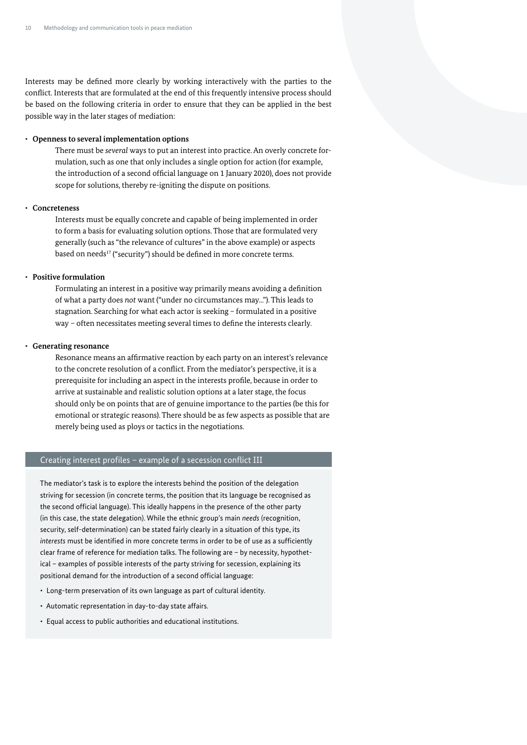Interests may be defined more clearly by working interactively with the parties to the conflict. Interests that are formulated at the end of this frequently intensive process should be based on the following criteria in order to ensure that they can be applied in the best possible way in the later stages of mediation:

#### • **Openness to several implementation options**

There must be *several* ways to put an interest into practice. An overly concrete formulation, such as one that only includes a single option for action (for example, the introduction of a second official language on 1 January 2020), does not provide scope for solutions, thereby re-igniting the dispute on positions.

#### • **Concreteness**

Interests must be equally concrete and capable of being implemented in order to form a basis for evaluating solution options. Those that are formulated very generally (such as "the relevance of cultures" in the above example) or aspects based on needs<sup>17</sup> ("security") should be defined in more concrete terms.

#### • **Positive formulation**

Formulating an interest in a positive way primarily means avoiding a definition of what a party does *not* want ("under no circumstances may..."). This leads to stagnation. Searching for what each actor is seeking – formulated in a positive way – often necessitates meeting several times to define the interests clearly.

#### • **Generating resonance**

Resonance means an affirmative reaction by each party on an interest's relevance to the concrete resolution of a conflict. From the mediator's perspective, it is a prerequisite for including an aspect in the interests profile, because in order to arrive at sustainable and realistic solution options at a later stage, the focus should only be on points that are of genuine importance to the parties (be this for emotional or strategic reasons). There should be as few aspects as possible that are merely being used as ploys or tactics in the negotiations.

### Creating interest profiles – example of a secession conflict III

The mediator's task is to explore the interests behind the position of the delegation striving for secession (in concrete terms, the position that its language be recognised as the second official language). This ideally happens in the presence of the other party (in this case, the state delegation). While the ethnic group's main *needs* (recognition, security, self-determination) can be stated fairly clearly in a situation of this type, its *interests* must be identified in more concrete terms in order to be of use as a sufficiently clear frame of reference for mediation talks. The following are – by necessity, hypothetical – examples of possible interests of the party striving for secession, explaining its positional demand for the introduction of a second official language:

- Long-term preservation of its own language as part of cultural identity.
- Automatic representation in day-to-day state affairs.
- Equal access to public authorities and educational institutions.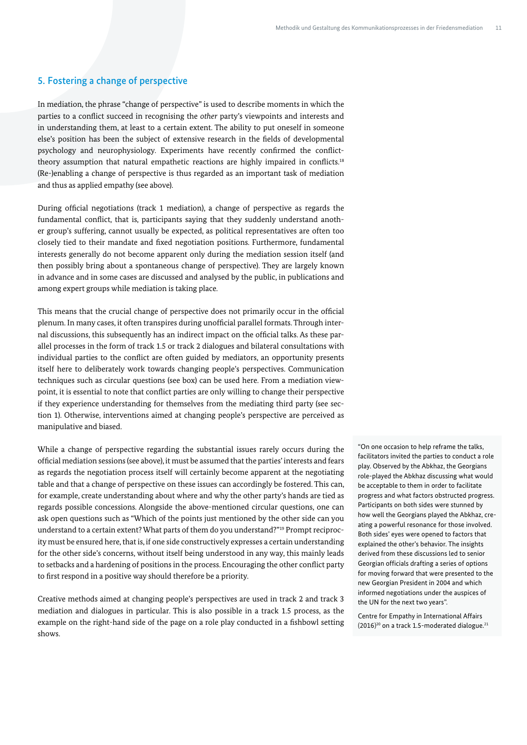## 5. Fostering a change of perspective

In mediation, the phrase "change of perspective" is used to describe moments in which the parties to a conflict succeed in recognising the *other* party's viewpoints and interests and in understanding them, at least to a certain extent. The ability to put oneself in someone else's position has been the subject of extensive research in the fields of developmental psychology and neurophysiology. Experiments have recently confirmed the conflicttheory assumption that natural empathetic reactions are highly impaired in conflicts.<sup>18</sup> (Re-)enabling a change of perspective is thus regarded as an important task of mediation and thus as applied empathy (see above).

During official negotiations (track 1 mediation), a change of perspective as regards the fundamental conflict, that is, participants saying that they suddenly understand another group's suffering, cannot usually be expected, as political representatives are often too closely tied to their mandate and fixed negotiation positions. Furthermore, fundamental interests generally do not become apparent only during the mediation session itself (and then possibly bring about a spontaneous change of perspective). They are largely known in advance and in some cases are discussed and analysed by the public, in publications and among expert groups while mediation is taking place.

This means that the crucial change of perspective does not primarily occur in the official plenum. In many cases, it often transpires during unofficial parallel formats. Through internal discussions, this subsequently has an indirect impact on the official talks. As these parallel processes in the form of track 1.5 or track 2 dialogues and bilateral consultations with individual parties to the conflict are often guided by mediators, an opportunity presents itself here to deliberately work towards changing people's perspectives. Communication techniques such as circular questions (see box) can be used here. From a mediation viewpoint, it is essential to note that conflict parties are only willing to change their perspective if they experience understanding for themselves from the mediating third party (see section 1). Otherwise, interventions aimed at changing people's perspective are perceived as manipulative and biased.

While a change of perspective regarding the substantial issues rarely occurs during the official mediation sessions (see above), it must be assumed that the parties' interests and fears as regards the negotiation process itself will certainly become apparent at the negotiating table and that a change of perspective on these issues can accordingly be fostered. This can, for example, create understanding about where and why the other party's hands are tied as regards possible concessions. Alongside the above-mentioned circular questions, one can ask open questions such as "Which of the points just mentioned by the other side can you understand to a certain extent? What parts of them do you understand?"19 Prompt reciprocity must be ensured here, that is, if one side constructively expresses a certain understanding for the other side's concerns, without itself being understood in any way, this mainly leads to setbacks and a hardening of positions in the process. Encouraging the other conflict party to first respond in a positive way should therefore be a priority.

Creative methods aimed at changing people's perspectives are used in track 2 and track 3 mediation and dialogues in particular. This is also possible in a track 1.5 process, as the example on the right-hand side of the page on a role play conducted in a fishbowl setting shows.

"On one occasion to help reframe the talks, facilitators invited the parties to conduct a role play. Observed by the Abkhaz, the Georgians role-played the Abkhaz discussing what would be acceptable to them in order to facilitate progress and what factors obstructed progress. Participants on both sides were stunned by how well the Georgians played the Abkhaz, creating a powerful resonance for those involved. Both sides' eyes were opened to factors that explained the other's behavior. The insights derived from these discussions led to senior Georgian officials drafting a series of options for moving forward that were presented to the new Georgian President in 2004 and which informed negotiations under the auspices of the UN for the next two years".

Centre for Empathy in International Affairs  $(2016)^{20}$  on a track 1.5-moderated dialogue.<sup>21</sup>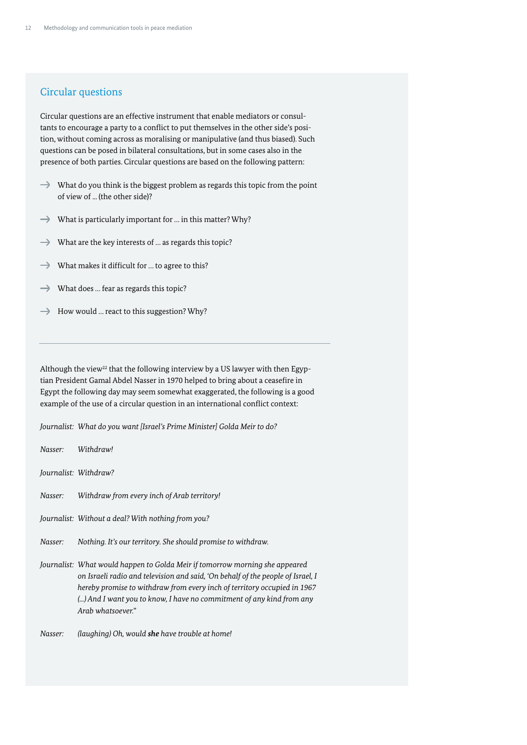## Circular questions

Circular questions are an effective instrument that enable mediators or consultants to encourage a party to a conflict to put themselves in the other side's position, without coming across as moralising or manipulative (and thus biased). Such questions can be posed in bilateral consultations, but in some cases also in the presence of both parties. Circular questions are based on the following pattern:

- $\rightarrow$  What do you think is the biggest problem as regards this topic from the point of view of ... (the other side)?
- $\rightarrow$  What is particularly important for ... in this matter? Why?
- $\rightarrow$ What are the key interests of … as regards this topic?
- What makes it difficult for … to agree to this?  $\rightarrow$
- What does … fear as regards this topic?  $\rightarrow$
- $\rightarrow$  How would ... react to this suggestion? Why?

Although the view<sup>22</sup> that the following interview by a US lawyer with then Egyptian President Gamal Abdel Nasser in 1970 helped to bring about a ceasefire in Egypt the following day may seem somewhat exaggerated, the following is a good example of the use of a circular question in an international conflict context:

*Journalist: What do you want [Israel's Prime Minister] Golda Meir to do?*

*Nasser: Withdraw!* 

*Journalist: Withdraw?* 

*Nasser: Withdraw from every inch of Arab territory!* 

*Journalist: Without a deal? With nothing from you?*

*Nasser: Nothing. It's our territory. She should promise to withdraw.*

*Journalist: What would happen to Golda Meir if tomorrow morning she appeared on Israeli radio and television and said, 'On behalf of the people of Israel, I hereby promise to withdraw from every inch of territory occupied in 1967 (...) And I want you to know, I have no commitment of any kind from any Arab whatsoever."*

*Nasser: (laughing) Oh, would she have trouble at home!*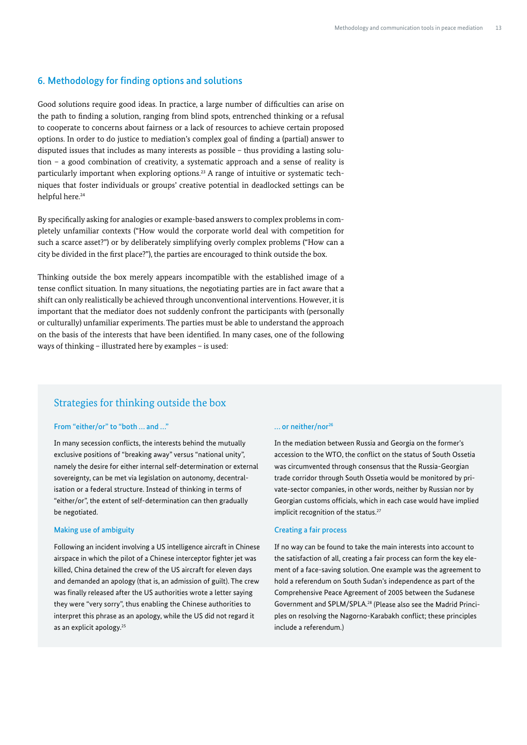### 6. Methodology for finding options and solutions

Good solutions require good ideas. In practice, a large number of difficulties can arise on the path to finding a solution, ranging from blind spots, entrenched thinking or a refusal to cooperate to concerns about fairness or a lack of resources to achieve certain proposed options. In order to do justice to mediation's complex goal of finding a (partial) answer to disputed issues that includes as many interests as possible – thus providing a lasting solution – a good combination of creativity, a systematic approach and a sense of reality is particularly important when exploring options.23 A range of intuitive or systematic techniques that foster individuals or groups' creative potential in deadlocked settings can be helpful here.<sup>24</sup>

By specifically asking for analogies or example-based answers to complex problems in completely unfamiliar contexts ("How would the corporate world deal with competition for such a scarce asset?") or by deliberately simplifying overly complex problems ("How can a city be divided in the first place?"), the parties are encouraged to think outside the box.

Thinking outside the box merely appears incompatible with the established image of a tense conflict situation. In many situations, the negotiating parties are in fact aware that a shift can only realistically be achieved through unconventional interventions. However, it is important that the mediator does not suddenly confront the participants with (personally or culturally) unfamiliar experiments. The parties must be able to understand the approach on the basis of the interests that have been identified. In many cases, one of the following ways of thinking – illustrated here by examples – is used:

## Strategies for thinking outside the box

#### From "either/or" to "both … and …"

In many secession conflicts, the interests behind the mutually exclusive positions of "breaking away" versus "national unity", namely the desire for either internal self-determination or external sovereignty, can be met via legislation on autonomy, decentralisation or a federal structure. Instead of thinking in terms of "either/or", the extent of self-determination can then gradually be negotiated.

#### Making use of ambiguity

Following an incident involving a US intelligence aircraft in Chinese airspace in which the pilot of a Chinese interceptor fighter jet was killed, China detained the crew of the US aircraft for eleven days and demanded an apology (that is, an admission of guilt). The crew was finally released after the US authorities wrote a letter saying they were "very sorry", thus enabling the Chinese authorities to interpret this phrase as an apology, while the US did not regard it as an explicit apology.<sup>25</sup>

#### ... or neither/nor<sup>26</sup>

In the mediation between Russia and Georgia on the former's accession to the WTO, the conflict on the status of South Ossetia was circumvented through consensus that the Russia-Georgian trade corridor through South Ossetia would be monitored by private-sector companies, in other words, neither by Russian nor by Georgian customs officials, which in each case would have implied implicit recognition of the status.<sup>27</sup>

#### Creating a fair process

If no way can be found to take the main interests into account to the satisfaction of all, creating a fair process can form the key element of a face-saving solution. One example was the agreement to hold a referendum on South Sudan's independence as part of the Comprehensive Peace Agreement of 2005 between the Sudanese Government and SPLM/SPLA.28 (Please also see the Madrid Principles on resolving the Nagorno-Karabakh conflict; these principles include a referendum.)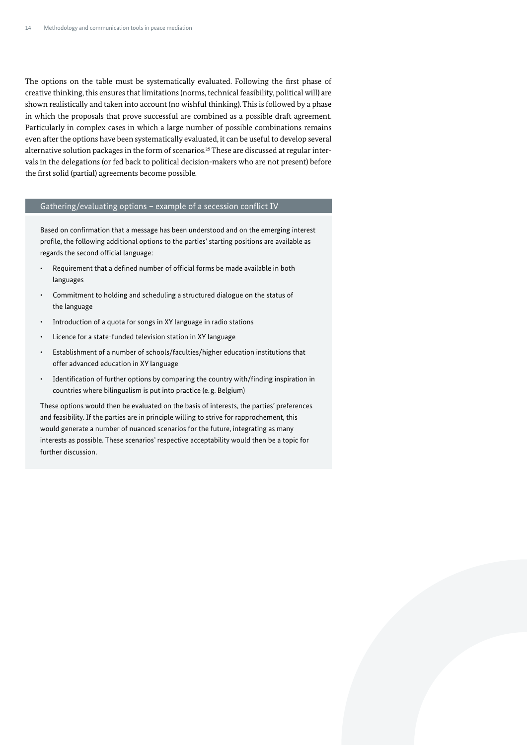The options on the table must be systematically evaluated. Following the first phase of creative thinking, this ensures that limitations (norms, technical feasibility, political will) are shown realistically and taken into account (no wishful thinking). This is followed by a phase in which the proposals that prove successful are combined as a possible draft agreement. Particularly in complex cases in which a large number of possible combinations remains even after the options have been systematically evaluated, it can be useful to develop several alternative solution packages in the form of scenarios.<sup>29</sup> These are discussed at regular intervals in the delegations (or fed back to political decision-makers who are not present) before the first solid (partial) agreements become possible.

#### Gathering/evaluating options – example of a secession conflict IV

Based on confirmation that a message has been understood and on the emerging interest profile, the following additional options to the parties' starting positions are available as regards the second official language:

- Requirement that a defined number of official forms be made available in both languages
- Commitment to holding and scheduling a structured dialogue on the status of the language
- Introduction of a quota for songs in XY language in radio stations
- Licence for a state-funded television station in XY language
- Establishment of a number of schools/faculties/higher education institutions that offer advanced education in XY language
- Identification of further options by comparing the country with/finding inspiration in countries where bilingualism is put into practice (e.g. Belgium)

These options would then be evaluated on the basis of interests, the parties' preferences and feasibility. If the parties are in principle willing to strive for rapprochement, this would generate a number of nuanced scenarios for the future, integrating as many interests as possible. These scenarios' respective acceptability would then be a topic for further discussion.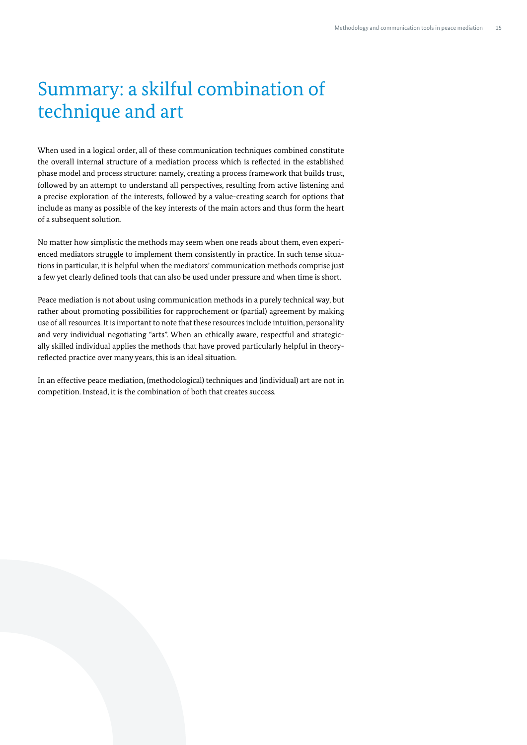## Summary: a skilful combination of technique and art

When used in a logical order, all of these communication techniques combined constitute the overall internal structure of a mediation process which is reflected in the established phase model and process structure: namely, creating a process framework that builds trust, followed by an attempt to understand all perspectives, resulting from active listening and a precise exploration of the interests, followed by a value-creating search for options that include as many as possible of the key interests of the main actors and thus form the heart of a subsequent solution.

No matter how simplistic the methods may seem when one reads about them, even experienced mediators struggle to implement them consistently in practice. In such tense situations in particular, it is helpful when the mediators' communication methods comprise just a few yet clearly defined tools that can also be used under pressure and when time is short.

Peace mediation is not about using communication methods in a purely technical way, but rather about promoting possibilities for rapprochement or (partial) agreement by making use of all resources. It is important to note that these resources include intuition, personality and very individual negotiating "arts". When an ethically aware, respectful and strategically skilled individual applies the methods that have proved particularly helpful in theoryreflected practice over many years, this is an ideal situation.

In an effective peace mediation, (methodological) techniques and (individual) art are not in competition. Instead, it is the combination of both that creates success.